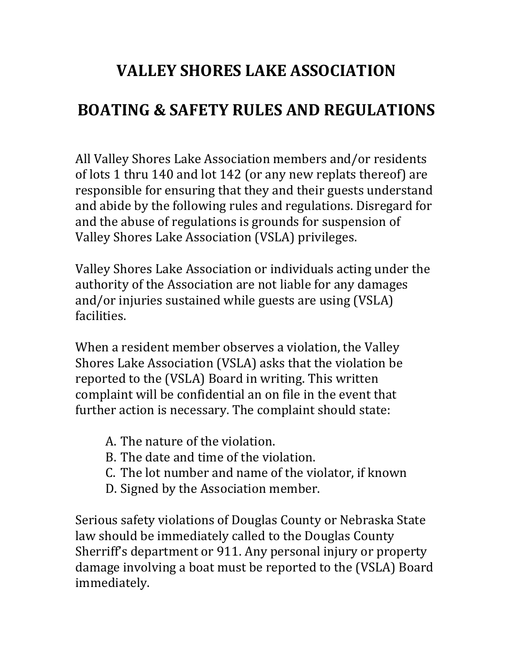#### **VALLEY SHORES LAKE ASSOCIATION**

#### **BOATING & SAFETY RULES AND REGULATIONS**

All Valley Shores Lake Association members and/or residents of lots 1 thru 140 and lot 142 (or any new replats thereof) are responsible for ensuring that they and their guests understand and abide by the following rules and regulations. Disregard for and the abuse of regulations is grounds for suspension of Valley Shores Lake Association (VSLA) privileges.

Valley Shores Lake Association or individuals acting under the authority of the Association are not liable for any damages and/or injuries sustained while guests are using (VSLA) facilities.

When a resident member observes a violation, the Valley Shores Lake Association (VSLA) asks that the violation be reported to the (VSLA) Board in writing. This written complaint will be confidential an on file in the event that further action is necessary. The complaint should state:

- A. The nature of the violation.
- B. The date and time of the violation.
- C. The lot number and name of the violator, if known
- D. Signed by the Association member.

Serious safety violations of Douglas County or Nebraska State law should be immediately called to the Douglas County Sherriff's department or 911. Any personal injury or property damage involving a boat must be reported to the (VSLA) Board immediately.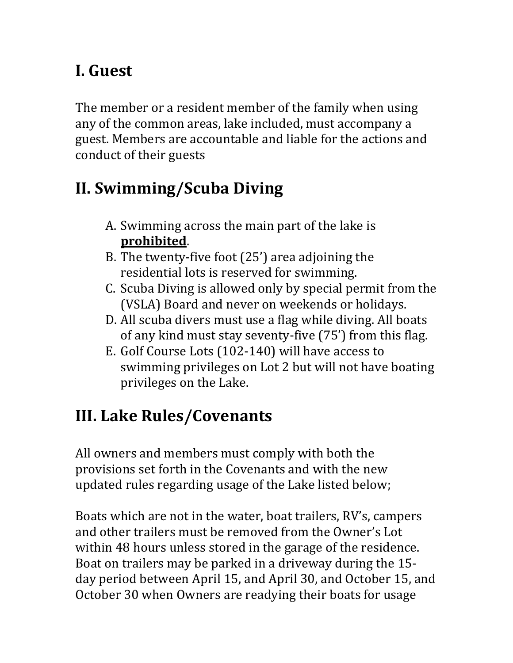## **I. Guest**

The member or a resident member of the family when using any of the common areas, lake included, must accompany a guest. Members are accountable and liable for the actions and conduct of their guests

# **II. Swimming/Scuba Diving**

- A. Swimming across the main part of the lake is **prohibited**.
- B. The twenty-five foot (25') area adjoining the residential lots is reserved for swimming.
- C. Scuba Diving is allowed only by special permit from the (VSLA) Board and never on weekends or holidays.
- D. All scuba divers must use a flag while diving. All boats of any kind must stay seventy-five (75') from this flag.
- E. Golf Course Lots (102-140) will have access to swimming privileges on Lot 2 but will not have boating privileges on the Lake.

# **III. Lake Rules/Covenants**

All owners and members must comply with both the provisions set forth in the Covenants and with the new updated rules regarding usage of the Lake listed below;

Boats which are not in the water, boat trailers, RV's, campers and other trailers must be removed from the Owner's Lot within 48 hours unless stored in the garage of the residence. Boat on trailers may be parked in a driveway during the 15 day period between April 15, and April 30, and October 15, and October 30 when Owners are readying their boats for usage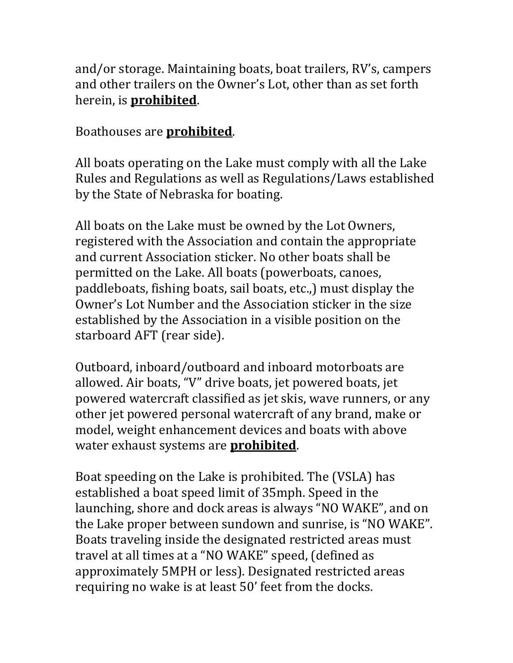and/or storage. Maintaining boats, boat trailers, RV's, campers and other trailers on the Owner's Lot, other than as set forth herein, is **prohibited**.

#### Boathouses are **prohibited**.

All boats operating on the Lake must comply with all the Lake Rules and Regulations as well as Regulations/Laws established by the State of Nebraska for boating.

All boats on the Lake must be owned by the Lot Owners, registered with the Association and contain the appropriate and current Association sticker. No other boats shall be permitted on the Lake. All boats (powerboats, canoes, paddleboats, fishing boats, sail boats, etc.,) must display the Owner's Lot Number and the Association sticker in the size established by the Association in a visible position on the starboard AFT (rear side).

Outboard, inboard/outboard and inboard motorboats are allowed. Air boats, "V" drive boats, jet powered boats, jet powered watercraft classified as jet skis, wave runners, or any other jet powered personal watercraft of any brand, make or model, weight enhancement devices and boats with above water exhaust systems are **prohibited**.

Boat speeding on the Lake is prohibited. The (VSLA) has established a boat speed limit of 35mph. Speed in the launching, shore and dock areas is always "NO WAKE", and on the Lake proper between sundown and sunrise, is "NO WAKE". Boats traveling inside the designated restricted areas must travel at all times at a "NO WAKE" speed, (defined as approximately 5MPH or less). Designated restricted areas requiring no wake is at least 50' feet from the docks.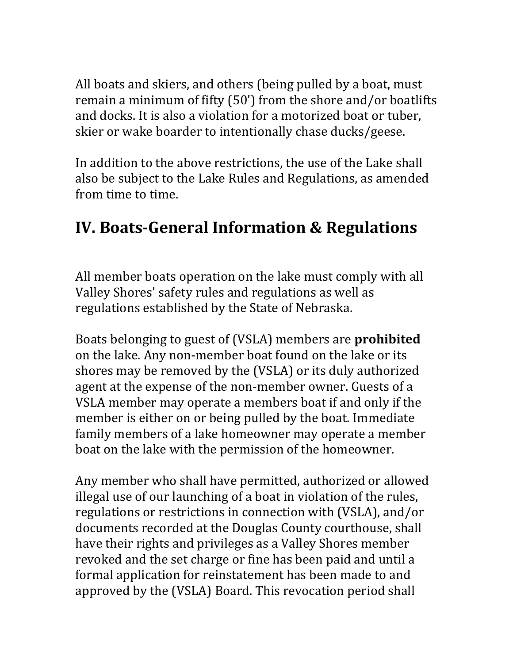All boats and skiers, and others (being pulled by a boat, must remain a minimum of fifty (50') from the shore and/or boatlifts and docks. It is also a violation for a motorized boat or tuber, skier or wake boarder to intentionally chase ducks/geese.

In addition to the above restrictions, the use of the Lake shall also be subject to the Lake Rules and Regulations, as amended from time to time.

### **IV. Boats-General Information & Regulations**

All member boats operation on the lake must comply with all Valley Shores' safety rules and regulations as well as regulations established by the State of Nebraska.

Boats belonging to guest of (VSLA) members are **prohibited** on the lake. Any non-member boat found on the lake or its shores may be removed by the (VSLA) or its duly authorized agent at the expense of the non-member owner. Guests of a VSLA member may operate a members boat if and only if the member is either on or being pulled by the boat. Immediate family members of a lake homeowner may operate a member boat on the lake with the permission of the homeowner.

Any member who shall have permitted, authorized or allowed illegal use of our launching of a boat in violation of the rules, regulations or restrictions in connection with (VSLA), and/or documents recorded at the Douglas County courthouse, shall have their rights and privileges as a Valley Shores member revoked and the set charge or fine has been paid and until a formal application for reinstatement has been made to and approved by the (VSLA) Board. This revocation period shall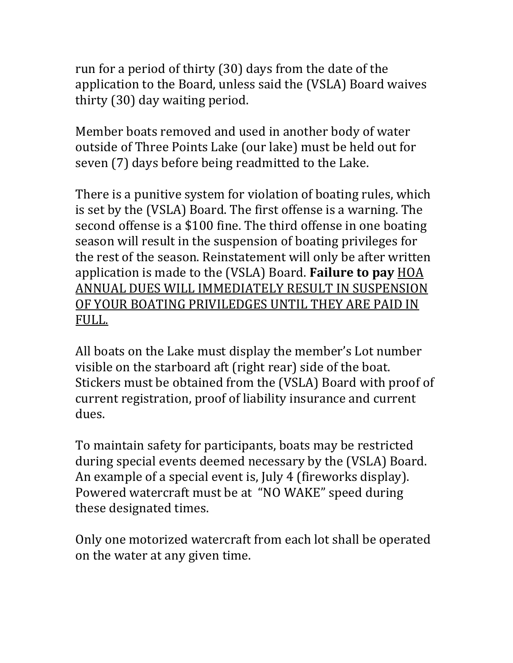run for a period of thirty (30) days from the date of the application to the Board, unless said the (VSLA) Board waives thirty (30) day waiting period.

Member boats removed and used in another body of water outside of Three Points Lake (our lake) must be held out for seven (7) days before being readmitted to the Lake.

There is a punitive system for violation of boating rules, which is set by the (VSLA) Board. The first offense is a warning. The second offense is a \$100 fine. The third offense in one boating season will result in the suspension of boating privileges for the rest of the season. Reinstatement will only be after written application is made to the (VSLA) Board. **Failure to pay** HOA ANNUAL DUES WILL IMMEDIATELY RESULT IN SUSPENSION OF YOUR BOATING PRIVILEDGES UNTIL THEY ARE PAID IN FULL.

All boats on the Lake must display the member's Lot number visible on the starboard aft (right rear) side of the boat. Stickers must be obtained from the (VSLA) Board with proof of current registration, proof of liability insurance and current dues.

To maintain safety for participants, boats may be restricted during special events deemed necessary by the (VSLA) Board. An example of a special event is, July 4 (fireworks display). Powered watercraft must be at "NO WAKE" speed during these designated times.

Only one motorized watercraft from each lot shall be operated on the water at any given time.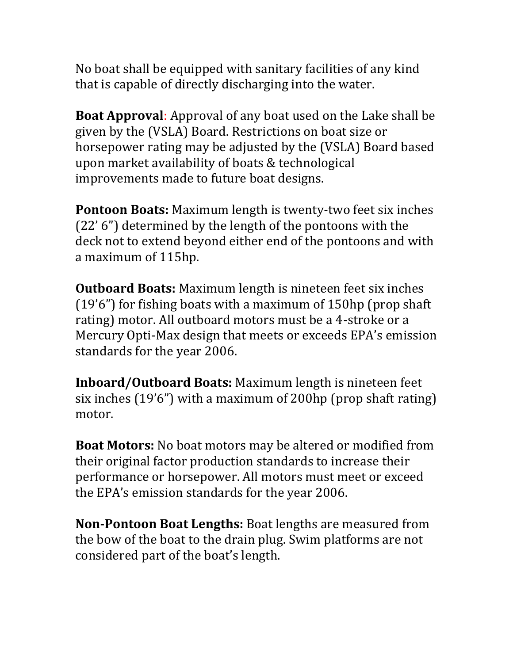No boat shall be equipped with sanitary facilities of any kind that is capable of directly discharging into the water.

**Boat Approval**: Approval of any boat used on the Lake shall be given by the (VSLA) Board. Restrictions on boat size or horsepower rating may be adjusted by the (VSLA) Board based upon market availability of boats & technological improvements made to future boat designs.

**Pontoon Boats:** Maximum length is twenty-two feet six inches (22' 6") determined by the length of the pontoons with the deck not to extend beyond either end of the pontoons and with a maximum of 115hp.

**Outboard Boats:** Maximum length is nineteen feet six inches (19'6") for fishing boats with a maximum of 150hp (prop shaft rating) motor. All outboard motors must be a 4-stroke or a Mercury Opti-Max design that meets or exceeds EPA's emission standards for the year 2006.

**Inboard/Outboard Boats:** Maximum length is nineteen feet six inches (19'6") with a maximum of 200hp (prop shaft rating) motor.

**Boat Motors:** No boat motors may be altered or modified from their original factor production standards to increase their performance or horsepower. All motors must meet or exceed the EPA's emission standards for the year 2006.

**Non-Pontoon Boat Lengths:** Boat lengths are measured from the bow of the boat to the drain plug. Swim platforms are not considered part of the boat's length.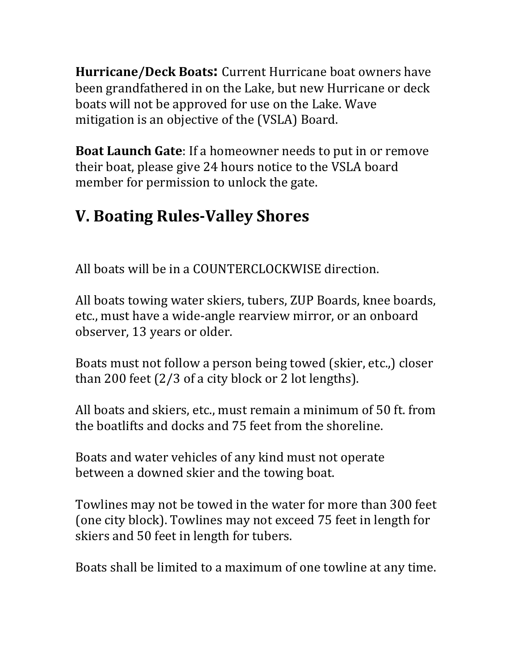**Hurricane/Deck Boats:** Current Hurricane boat owners have been grandfathered in on the Lake, but new Hurricane or deck boats will not be approved for use on the Lake. Wave mitigation is an objective of the (VSLA) Board.

**Boat Launch Gate**: If a homeowner needs to put in or remove their boat, please give 24 hours notice to the VSLA board member for permission to unlock the gate.

# **V. Boating Rules-Valley Shores**

All boats will be in a COUNTERCLOCKWISE direction.

All boats towing water skiers, tubers, ZUP Boards, knee boards, etc., must have a wide-angle rearview mirror, or an onboard observer, 13 years or older.

Boats must not follow a person being towed (skier, etc.,) closer than 200 feet (2/3 of a city block or 2 lot lengths).

All boats and skiers, etc., must remain a minimum of 50 ft. from the boatlifts and docks and 75 feet from the shoreline.

Boats and water vehicles of any kind must not operate between a downed skier and the towing boat.

Towlines may not be towed in the water for more than 300 feet (one city block). Towlines may not exceed 75 feet in length for skiers and 50 feet in length for tubers.

Boats shall be limited to a maximum of one towline at any time.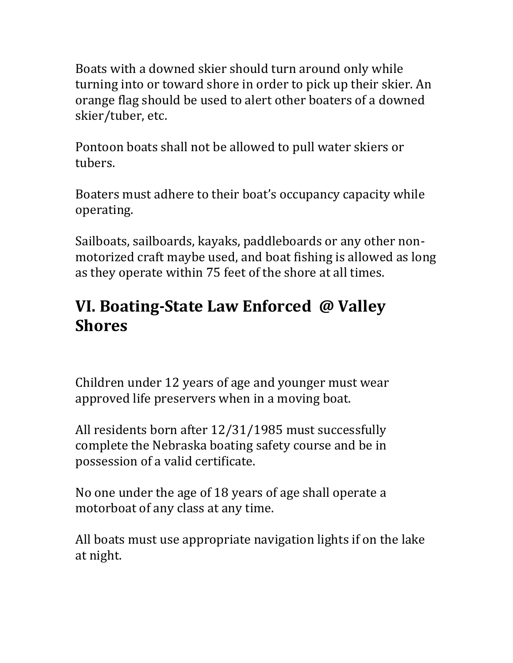Boats with a downed skier should turn around only while turning into or toward shore in order to pick up their skier. An orange flag should be used to alert other boaters of a downed skier/tuber, etc.

Pontoon boats shall not be allowed to pull water skiers or tubers.

Boaters must adhere to their boat's occupancy capacity while operating.

Sailboats, sailboards, kayaks, paddleboards or any other nonmotorized craft maybe used, and boat fishing is allowed as long as they operate within 75 feet of the shore at all times.

#### **VI. Boating-State Law Enforced @ Valley Shores**

Children under 12 years of age and younger must wear approved life preservers when in a moving boat.

All residents born after 12/31/1985 must successfully complete the Nebraska boating safety course and be in possession of a valid certificate.

No one under the age of 18 years of age shall operate a motorboat of any class at any time.

All boats must use appropriate navigation lights if on the lake at night.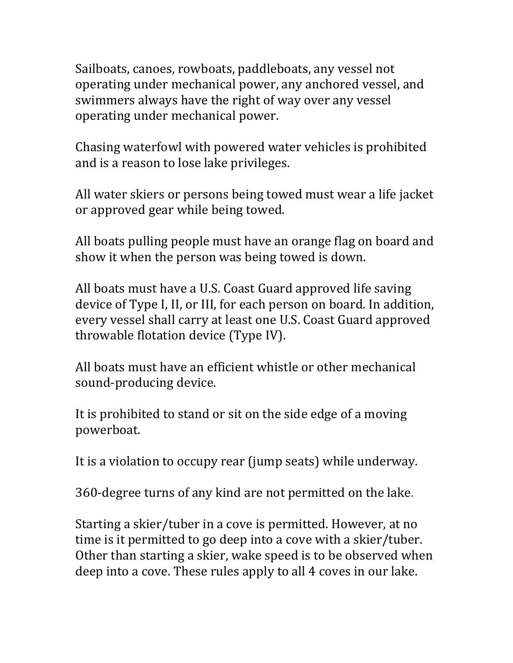Sailboats, canoes, rowboats, paddleboats, any vessel not operating under mechanical power, any anchored vessel, and swimmers always have the right of way over any vessel operating under mechanical power.

Chasing waterfowl with powered water vehicles is prohibited and is a reason to lose lake privileges.

All water skiers or persons being towed must wear a life jacket or approved gear while being towed.

All boats pulling people must have an orange flag on board and show it when the person was being towed is down.

All boats must have a U.S. Coast Guard approved life saving device of Type I, II, or III, for each person on board. In addition, every vessel shall carry at least one U.S. Coast Guard approved throwable flotation device (Type IV).

All boats must have an efficient whistle or other mechanical sound-producing device.

It is prohibited to stand or sit on the side edge of a moving powerboat.

It is a violation to occupy rear (jump seats) while underway.

360-degree turns of any kind are not permitted on the lake.

Starting a skier/tuber in a cove is permitted. However, at no time is it permitted to go deep into a cove with a skier/tuber. Other than starting a skier, wake speed is to be observed when deep into a cove. These rules apply to all 4 coves in our lake.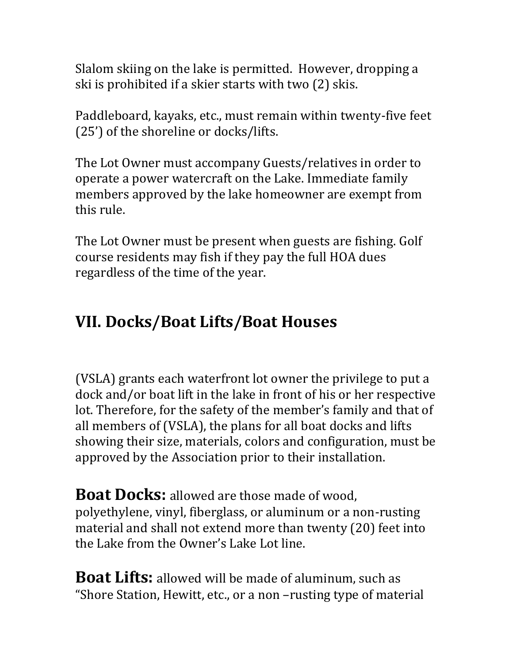Slalom skiing on the lake is permitted. However, dropping a ski is prohibited if a skier starts with two (2) skis.

Paddleboard, kayaks, etc., must remain within twenty-five feet (25') of the shoreline or docks/lifts.

The Lot Owner must accompany Guests/relatives in order to operate a power watercraft on the Lake. Immediate family members approved by the lake homeowner are exempt from this rule.

The Lot Owner must be present when guests are fishing. Golf course residents may fish if they pay the full HOA dues regardless of the time of the year.

## **VII. Docks/Boat Lifts/Boat Houses**

(VSLA) grants each waterfront lot owner the privilege to put a dock and/or boat lift in the lake in front of his or her respective lot. Therefore, for the safety of the member's family and that of all members of (VSLA), the plans for all boat docks and lifts showing their size, materials, colors and configuration, must be approved by the Association prior to their installation.

**Boat Docks:** allowed are those made of wood, polyethylene, vinyl, fiberglass, or aluminum or a non-rusting material and shall not extend more than twenty (20) feet into the Lake from the Owner's Lake Lot line.

**Boat Lifts:** allowed will be made of aluminum, such as "Shore Station, Hewitt, etc., or a non –rusting type of material